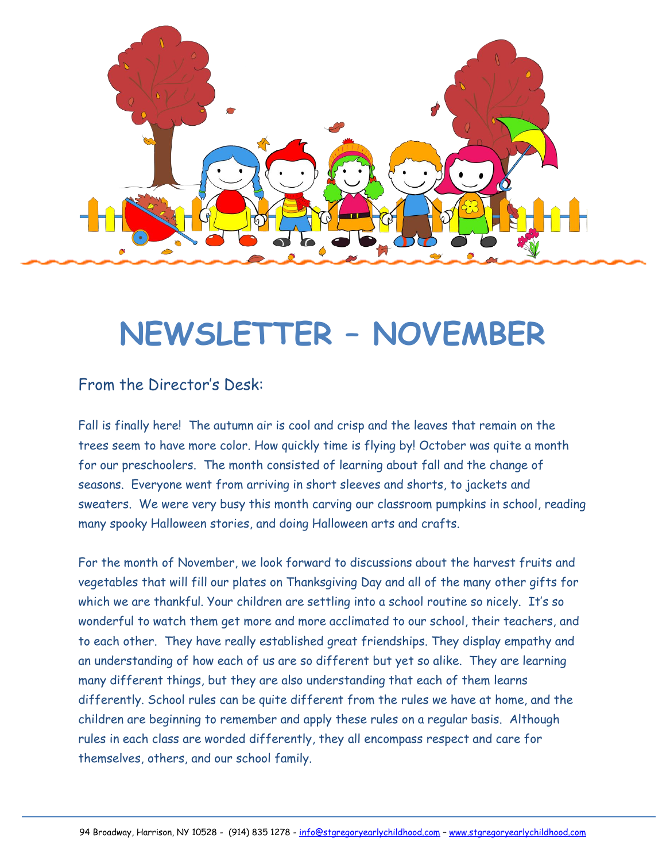

# **NEWSLETTER – NOVEMBER**

### From the Director's Desk:

Fall is finally here! The autumn air is cool and crisp and the leaves that remain on the trees seem to have more color. How quickly time is flying by! October was quite a month for our preschoolers. The month consisted of learning about fall and the change of seasons. Everyone went from arriving in short sleeves and shorts, to jackets and sweaters. We were very busy this month carving our classroom pumpkins in school, reading many spooky Halloween stories, and doing Halloween arts and crafts.

For the month of November, we look forward to discussions about the harvest fruits and vegetables that will fill our plates on Thanksgiving Day and all of the many other gifts for which we are thankful. Your children are settling into a school routine so nicely. It's so wonderful to watch them get more and more acclimated to our school, their teachers, and to each other. They have really established great friendships. They display empathy and an understanding of how each of us are so different but yet so alike. They are learning many different things, but they are also understanding that each of them learns differently. School rules can be quite different from the rules we have at home, and the children are beginning to remember and apply these rules on a regular basis. Although rules in each class are worded differently, they all encompass respect and care for themselves, others, and our school family.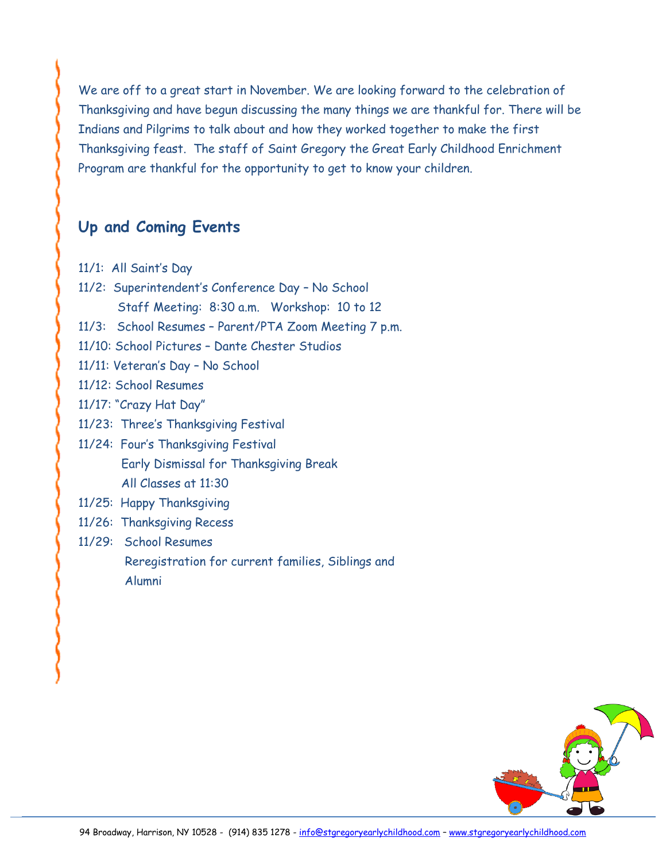We are off to a great start in November. We are looking forward to the celebration of Thanksgiving and have begun discussing the many things we are thankful for. There will be Indians and Pilgrims to talk about and how they worked together to make the first Thanksgiving feast. The staff of Saint Gregory the Great Early Childhood Enrichment Program are thankful for the opportunity to get to know your children.

### **Up and Coming Events**

- 11/1: All Saint's Day
- 11/2: Superintendent's Conference Day No School Staff Meeting: 8:30 a.m. Workshop: 10 to 12
- 11/3: School Resumes Parent/PTA Zoom Meeting 7 p.m.
- 11/10: School Pictures Dante Chester Studios
- 11/11: Veteran's Day No School
- 11/12: School Resumes
- 11/17: "Crazy Hat Day"
- 11/23: Three's Thanksgiving Festival
- 11/24: Four's Thanksgiving Festival Early Dismissal for Thanksgiving Break All Classes at 11:30
- 11/25: Happy Thanksgiving
- 11/26: Thanksgiving Recess
- 11/29: School Resumes

 Reregistration for current families, Siblings and Alumni

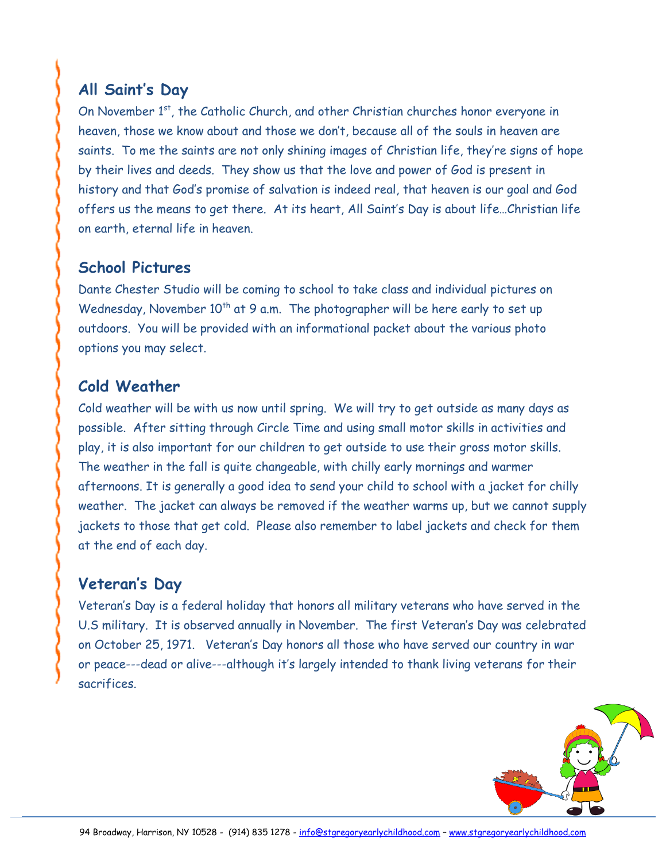## **All Saint's Day**

On November 1<sup>st</sup>, the Catholic Church, and other Christian churches honor everyone in heaven, those we know about and those we don't, because all of the souls in heaven are saints. To me the saints are not only shining images of Christian life, they're signs of hope by their lives and deeds. They show us that the love and power of God is present in history and that God's promise of salvation is indeed real, that heaven is our goal and God offers us the means to get there. At its heart, All Saint's Day is about life…Christian life on earth, eternal life in heaven.

## **School Pictures**

Dante Chester Studio will be coming to school to take class and individual pictures on Wednesday, November 10<sup>th</sup> at 9 a.m. The photographer will be here early to set up outdoors. You will be provided with an informational packet about the various photo options you may select.

### **Cold Weather**

Cold weather will be with us now until spring. We will try to get outside as many days as possible. After sitting through Circle Time and using small motor skills in activities and play, it is also important for our children to get outside to use their gross motor skills. The weather in the fall is quite changeable, with chilly early mornings and warmer afternoons. It is generally a good idea to send your child to school with a jacket for chilly weather. The jacket can always be removed if the weather warms up, but we cannot supply jackets to those that get cold. Please also remember to label jackets and check for them at the end of each day.

## **Veteran's Day**

Veteran's Day is a federal holiday that honors all military veterans who have served in the U.S military. It is observed annually in November. The first Veteran's Day was celebrated on October 25, 1971. Veteran's Day honors all those who have served our country in war or peace---dead or alive---although it's largely intended to thank living veterans for their sacrifices.

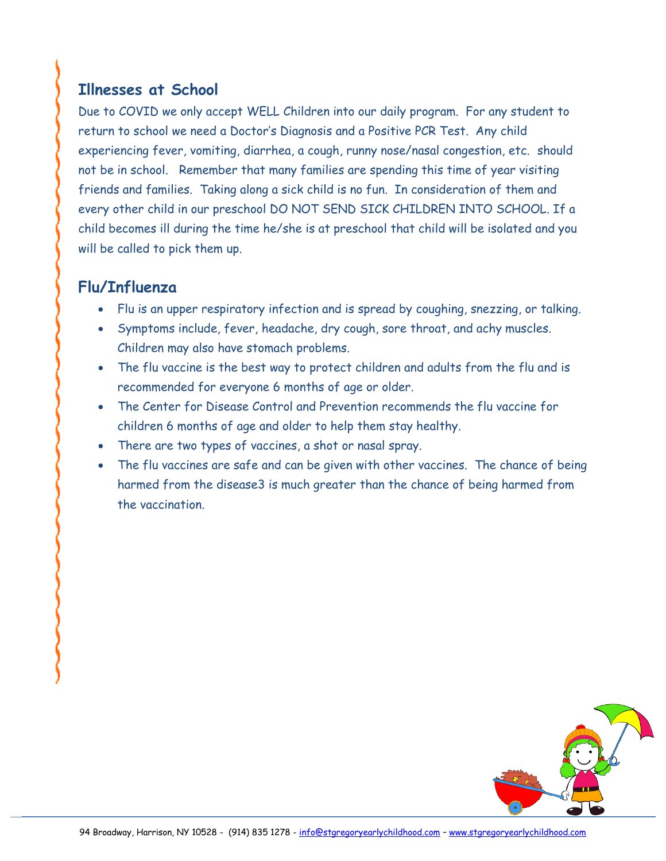## **Illnesses at School**

Due to COVID we only accept WELL Children into our daily program. For any student to return to school we need a Doctor's Diagnosis and a Positive PCR Test. Any child experiencing fever, vomiting, diarrhea, a cough, runny nose/nasal congestion, etc. should not be in school. Remember that many families are spending this time of year visiting friends and families. Taking along a sick child is no fun. In consideration of them and every other child in our preschool DO NOT SEND SICK CHILDREN INTO SCHOOL. If a child becomes ill during the time he/she is at preschool that child will be isolated and you will be called to pick them up.

## **Flu/Influenza**

- Flu is an upper respiratory infection and is spread by coughing, snezzing, or talking.
- Symptoms include, fever, headache, dry cough, sore throat, and achy muscles. Children may also have stomach problems.
- The flu vaccine is the best way to protect children and adults from the flu and is recommended for everyone 6 months of age or older.
- The Center for Disease Control and Prevention recommends the flu vaccine for children 6 months of age and older to help them stay healthy.
- There are two types of vaccines, a shot or nasal spray.
- The flu vaccines are safe and can be given with other vaccines. The chance of being harmed from the disease3 is much greater than the chance of being harmed from the vaccination.